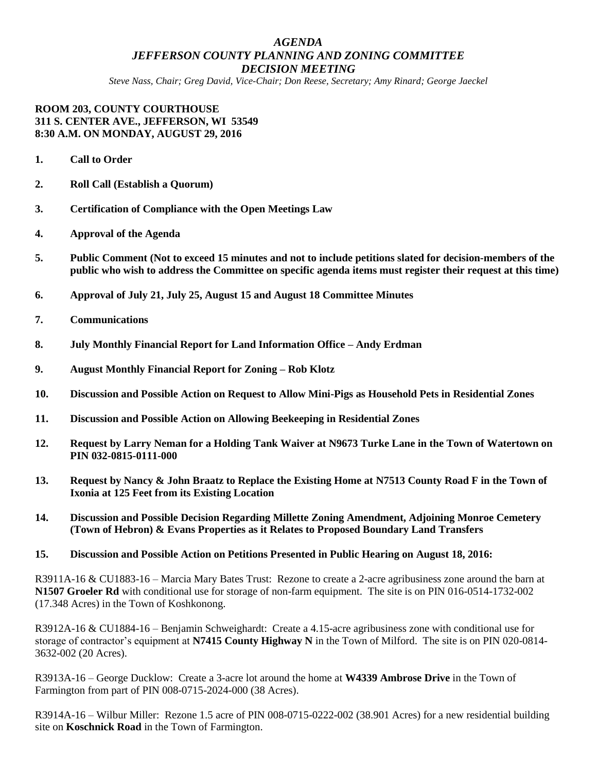# *AGENDA JEFFERSON COUNTY PLANNING AND ZONING COMMITTEE DECISION MEETING*

*Steve Nass, Chair; Greg David, Vice-Chair; Don Reese, Secretary; Amy Rinard; George Jaeckel*

#### **ROOM 203, COUNTY COURTHOUSE 311 S. CENTER AVE., JEFFERSON, WI 53549 8:30 A.M. ON MONDAY, AUGUST 29, 2016**

- **1. Call to Order**
- **2. Roll Call (Establish a Quorum)**
- **3. Certification of Compliance with the Open Meetings Law**
- **4. Approval of the Agenda**
- **5. Public Comment (Not to exceed 15 minutes and not to include petitions slated for decision-members of the public who wish to address the Committee on specific agenda items must register their request at this time)**
- **6. Approval of July 21, July 25, August 15 and August 18 Committee Minutes**

## **7. Communications**

- **8. July Monthly Financial Report for Land Information Office – Andy Erdman**
- **9. August Monthly Financial Report for Zoning – Rob Klotz**
- **10. Discussion and Possible Action on Request to Allow Mini-Pigs as Household Pets in Residential Zones**
- **11. Discussion and Possible Action on Allowing Beekeeping in Residential Zones**
- **12. Request by Larry Neman for a Holding Tank Waiver at N9673 Turke Lane in the Town of Watertown on PIN 032-0815-0111-000**
- **13. Request by Nancy & John Braatz to Replace the Existing Home at N7513 County Road F in the Town of Ixonia at 125 Feet from its Existing Location**
- **14. Discussion and Possible Decision Regarding Millette Zoning Amendment, Adjoining Monroe Cemetery (Town of Hebron) & Evans Properties as it Relates to Proposed Boundary Land Transfers**

## **15. Discussion and Possible Action on Petitions Presented in Public Hearing on August 18, 2016:**

R3911A-16 & CU1883-16 – Marcia Mary Bates Trust: Rezone to create a 2-acre agribusiness zone around the barn at **N1507 Groeler Rd** with conditional use for storage of non-farm equipment. The site is on PIN 016-0514-1732-002 (17.348 Acres) in the Town of Koshkonong.

R3912A-16 & CU1884-16 – Benjamin Schweighardt: Create a 4.15-acre agribusiness zone with conditional use for storage of contractor's equipment at **N7415 County Highway N** in the Town of Milford. The site is on PIN 020-0814- 3632-002 (20 Acres).

R3913A-16 – George Ducklow: Create a 3-acre lot around the home at **W4339 Ambrose Drive** in the Town of Farmington from part of PIN 008-0715-2024-000 (38 Acres).

R3914A-16 – Wilbur Miller: Rezone 1.5 acre of PIN 008-0715-0222-002 (38.901 Acres) for a new residential building site on **Koschnick Road** in the Town of Farmington.